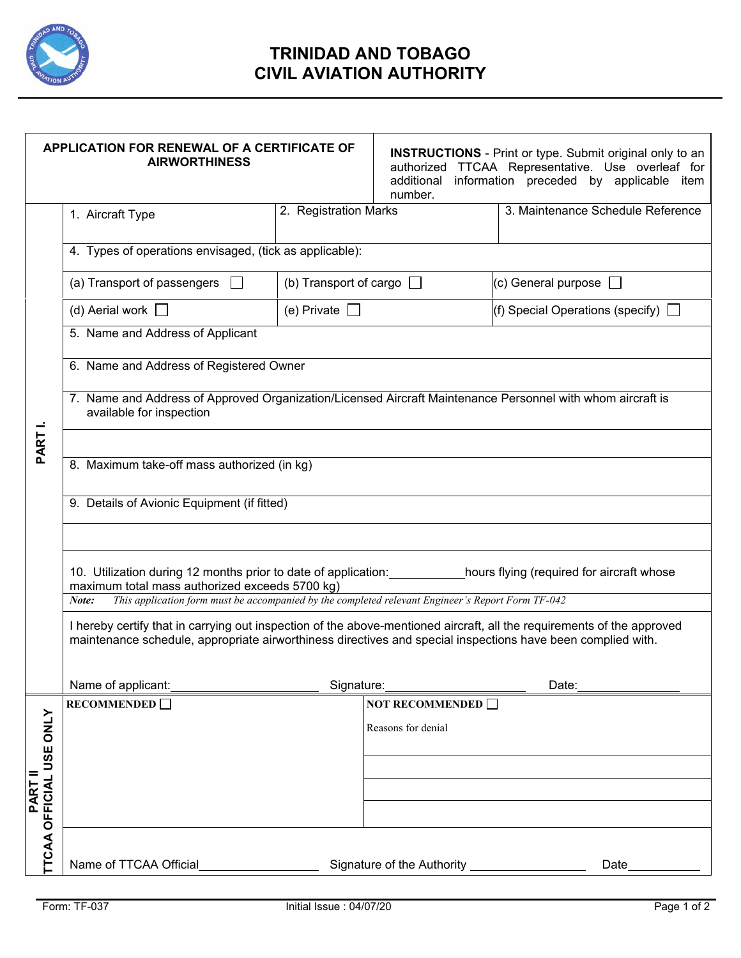

## **TRINIDAD AND TOBAGO CIVIL AVIATION AUTHORITY**

|                                   | APPLICATION FOR RENEWAL OF A CERTIFICATE OF<br><b>AIRWORTHINESS</b>                                                                                                                                                                   |                               | number.                    | <b>INSTRUCTIONS</b> - Print or type. Submit original only to an<br>authorized TTCAA Representative. Use overleaf for<br>additional information preceded by applicable item |  |  |
|-----------------------------------|---------------------------------------------------------------------------------------------------------------------------------------------------------------------------------------------------------------------------------------|-------------------------------|----------------------------|----------------------------------------------------------------------------------------------------------------------------------------------------------------------------|--|--|
|                                   | 1. Aircraft Type                                                                                                                                                                                                                      | 2. Registration Marks         |                            | 3. Maintenance Schedule Reference                                                                                                                                          |  |  |
| PART I.                           | 4. Types of operations envisaged, (tick as applicable):                                                                                                                                                                               |                               |                            |                                                                                                                                                                            |  |  |
|                                   | (a) Transport of passengers                                                                                                                                                                                                           | (b) Transport of cargo $\Box$ |                            | (c) General purpose $\Box$                                                                                                                                                 |  |  |
|                                   | (d) Aerial work $\Box$                                                                                                                                                                                                                | (e) Private $\Box$            |                            | (f) Special Operations (specify) $\Box$                                                                                                                                    |  |  |
|                                   | 5. Name and Address of Applicant                                                                                                                                                                                                      |                               |                            |                                                                                                                                                                            |  |  |
|                                   | 6. Name and Address of Registered Owner                                                                                                                                                                                               |                               |                            |                                                                                                                                                                            |  |  |
|                                   | 7. Name and Address of Approved Organization/Licensed Aircraft Maintenance Personnel with whom aircraft is<br>available for inspection                                                                                                |                               |                            |                                                                                                                                                                            |  |  |
|                                   | 8. Maximum take-off mass authorized (in kg)                                                                                                                                                                                           |                               |                            |                                                                                                                                                                            |  |  |
|                                   | 9. Details of Avionic Equipment (if fitted)                                                                                                                                                                                           |                               |                            |                                                                                                                                                                            |  |  |
|                                   | 10. Utilization during 12 months prior to date of application: hours flying (required for aircraft whose<br>maximum total mass authorized exceeds 5700 kg)                                                                            |                               |                            |                                                                                                                                                                            |  |  |
|                                   | This application form must be accompanied by the completed relevant Engineer's Report Form TF-042<br>Note:                                                                                                                            |                               |                            |                                                                                                                                                                            |  |  |
|                                   | I hereby certify that in carrying out inspection of the above-mentioned aircraft, all the requirements of the approved<br>maintenance schedule, appropriate airworthiness directives and special inspections have been complied with. |                               |                            |                                                                                                                                                                            |  |  |
|                                   | Name of applicant:                                                                                                                                                                                                                    | Signature:                    |                            | Date:                                                                                                                                                                      |  |  |
|                                   | RECOMMENDED $\square$                                                                                                                                                                                                                 |                               | <b>NOT RECOMMENDED</b>     |                                                                                                                                                                            |  |  |
| TCAA OFFICIAL USE ONLY<br>PART II |                                                                                                                                                                                                                                       |                               | Reasons for denial         |                                                                                                                                                                            |  |  |
|                                   |                                                                                                                                                                                                                                       |                               |                            |                                                                                                                                                                            |  |  |
|                                   |                                                                                                                                                                                                                                       |                               |                            |                                                                                                                                                                            |  |  |
|                                   |                                                                                                                                                                                                                                       |                               |                            |                                                                                                                                                                            |  |  |
|                                   |                                                                                                                                                                                                                                       |                               |                            |                                                                                                                                                                            |  |  |
|                                   | Name of TTCAA Official                                                                                                                                                                                                                |                               | Signature of the Authority | Date                                                                                                                                                                       |  |  |